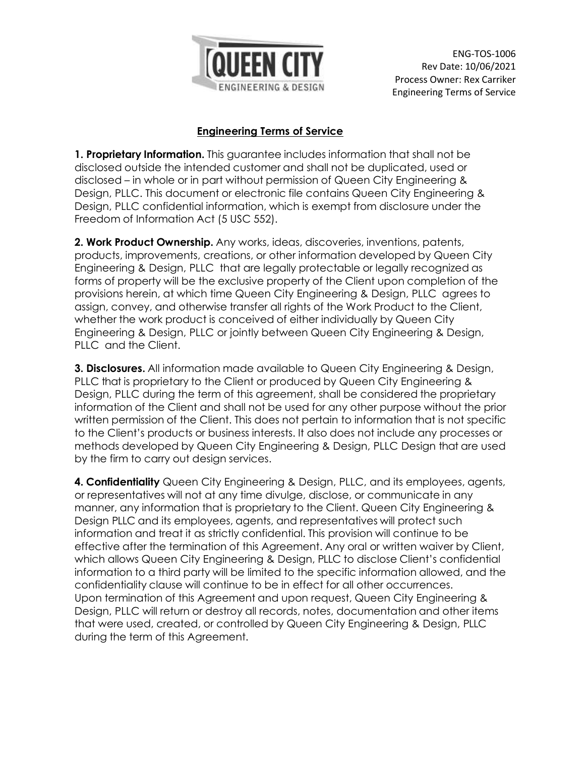

ENG-TOS-1006 Rev Date: 10/06/2021 Process Owner: Rex Carriker Engineering Terms of Service

## **Engineering Terms of Service**

**1. Proprietary Information.** This guarantee includes information that shall not be disclosed outside the intended customer and shall not be duplicated, used or disclosed – in whole or in part without permission of Queen City Engineering & Design, PLLC. This document or electronic file contains Queen City Engineering & Design, PLLC confidential information, which is exempt from disclosure under the Freedom of Information Act (5 USC 552).

**2. Work Product Ownership.** Any works, ideas, discoveries, inventions, patents, products, improvements, creations, or other information developed by Queen City Engineering & Design, PLLC that are legally protectable or legally recognized as forms of property will be the exclusive property of the Client upon completion of the provisions herein, at which time Queen City Engineering & Design, PLLC agrees to assign, convey, and otherwise transfer all rights of the Work Product to the Client, whether the work product is conceived of either individually by Queen City Engineering & Design, PLLC or jointly between Queen City Engineering & Design, PLLC and the Client.

**3. Disclosures.** All information made available to Queen City Engineering & Design, PLLC that is proprietary to the Client or produced by Queen City Engineering & Design, PLLC during the term of this agreement, shall be considered the proprietary information of the Client and shall not be used for any other purpose without the prior written permission of the Client. This does not pertain to information that is not specific to the Client's products or business interests. It also does not include any processes or methods developed by Queen City Engineering & Design, PLLC Design that are used by the firm to carry out design services.

**4. Confidentiality** Queen City Engineering & Design, PLLC, and its employees, agents, or representatives will not at any time divulge, disclose, or communicate in any manner, any information that is proprietary to the Client. Queen City Engineering & Design PLLC and its employees, agents, and representatives will protect such information and treat it as strictly confidential. This provision will continue to be effective after the termination of this Agreement. Any oral or written waiver by Client, which allows Queen City Engineering & Design, PLLC to disclose Client's confidential information to a third party will be limited to the specific information allowed, and the confidentiality clause will continue to be in effect for all other occurrences. Upon termination of this Agreement and upon request, Queen City Engineering & Design, PLLC will return or destroy all records, notes, documentation and other items that were used, created, or controlled by Queen City Engineering & Design, PLLC during the term of this Agreement.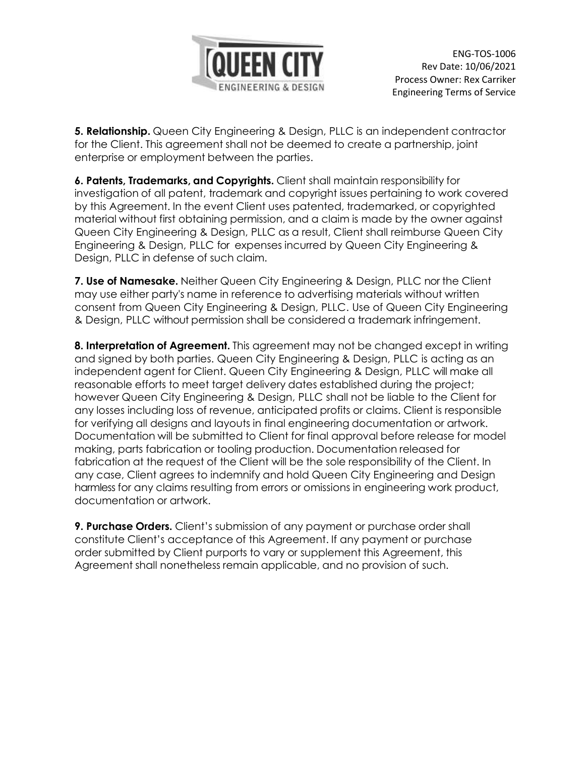

**5. Relationship.** Queen City Engineering & Design, PLLC is an independent contractor for the Client. This agreement shall not be deemed to create a partnership, joint enterprise or employment between the parties.

**6. Patents, Trademarks, and Copyrights.** Client shall maintain responsibility for investigation of all patent, trademark and copyright issues pertaining to work covered by this Agreement. In the event Client uses patented, trademarked, or copyrighted material without first obtaining permission, and a claim is made by the owner against Queen City Engineering & Design, PLLC as a result, Client shall reimburse Queen City Engineering & Design, PLLC for expenses incurred by Queen City Engineering & Design, PLLC in defense of such claim.

**7. Use of Namesake.** Neither Queen City Engineering & Design, PLLC nor the Client may use either party's name in reference to advertising materials without written consent from Queen City Engineering & Design, PLLC. Use of Queen City Engineering & Design, PLLC without permission shall be considered a trademark infringement.

**8. Interpretation of Agreement.** This agreement may not be changed except in writing and signed by both parties. Queen City Engineering & Design, PLLC is acting as an independent agent for Client. Queen City Engineering & Design, PLLC will make all reasonable efforts to meet target delivery dates established during the project; however Queen City Engineering & Design, PLLC shall not be liable to the Client for any losses including loss of revenue, anticipated profits or claims. Client is responsible for verifying all designs and layouts in final engineering documentation or artwork. Documentation will be submitted to Client for final approval before release for model making, parts fabrication or tooling production. Documentation released for fabrication at the request of the Client will be the sole responsibility of the Client. In any case, Client agrees to indemnify and hold Queen City Engineering and Design harmless for any claims resulting from errors or omissions in engineering work product, documentation or artwork.

**9. Purchase Orders.** Client's submission of any payment or purchase order shall constitute Client's acceptance of this Agreement. If any payment or purchase order submitted by Client purports to vary or supplement this Agreement, this Agreement shall nonetheless remain applicable, and no provision of such.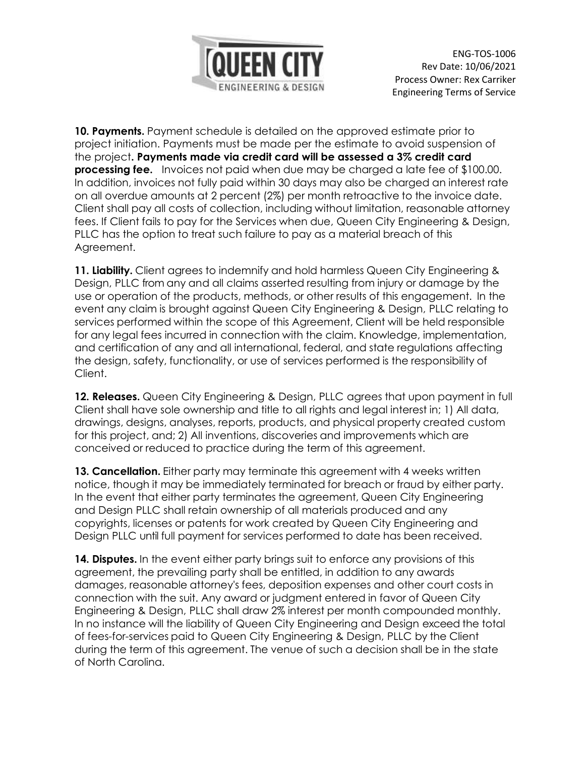

ENG-TOS-1006 Rev Date: 10/06/2021 Process Owner: Rex Carriker Engineering Terms of Service

**10. Payments.** Payment schedule is detailed on the approved estimate prior to project initiation. Payments must be made per the estimate to avoid suspension of the project**. Payments made via credit card will be assessed a 3% credit card processing fee.** Invoices not paid when due may be charged a late fee of \$100.00. In addition, invoices not fully paid within 30 days may also be charged an interest rate on all overdue amounts at 2 percent (2%) per month retroactive to the invoice date. Client shall pay all costs of collection, including without limitation, reasonable attorney fees. If Client fails to pay for the Services when due, Queen City Engineering & Design, PLLC has the option to treat such failure to pay as a material breach of this Agreement.

**11. Liability.** Client agrees to indemnify and hold harmless Queen City Engineering & Design, PLLC from any and all claims asserted resulting from injury or damage by the use or operation of the products, methods, or other results of this engagement. In the event any claim is brought against Queen City Engineering & Design, PLLC relating to services performed within the scope of this Agreement, Client will be held responsible for any legal fees incurred in connection with the claim. Knowledge, implementation, and certification of any and all international, federal, and state regulations affecting the design, safety, functionality, or use of services performed is the responsibility of Client.

**12. Releases.** Queen City Engineering & Design, PLLC agrees that upon payment in full Client shall have sole ownership and title to all rights and legal interest in; 1) All data, drawings, designs, analyses, reports, products, and physical property created custom for this project, and; 2) All inventions, discoveries and improvements which are conceived or reduced to practice during the term of this agreement.

**13. Cancellation.** Either party may terminate this agreement with 4 weeks written notice, though it may be immediately terminated for breach or fraud by either party. In the event that either party terminates the agreement, Queen City Engineering and Design PLLC shall retain ownership of all materials produced and any copyrights, licenses or patents for work created by Queen City Engineering and Design PLLC until full payment for services performed to date has been received.

**14. Disputes.** In the event either party brings suit to enforce any provisions of this agreement, the prevailing party shall be entitled, in addition to any awards damages, reasonable attorney's fees, deposition expenses and other court costs in connection with the suit. Any award or judgment entered in favor of Queen City Engineering & Design, PLLC shall draw 2% interest per month compounded monthly. In no instance will the liability of Queen City Engineering and Design exceed the total of fees-for-services paid to Queen City Engineering & Design, PLLC by the Client during the term of this agreement. The venue of such a decision shall be in the state of North Carolina.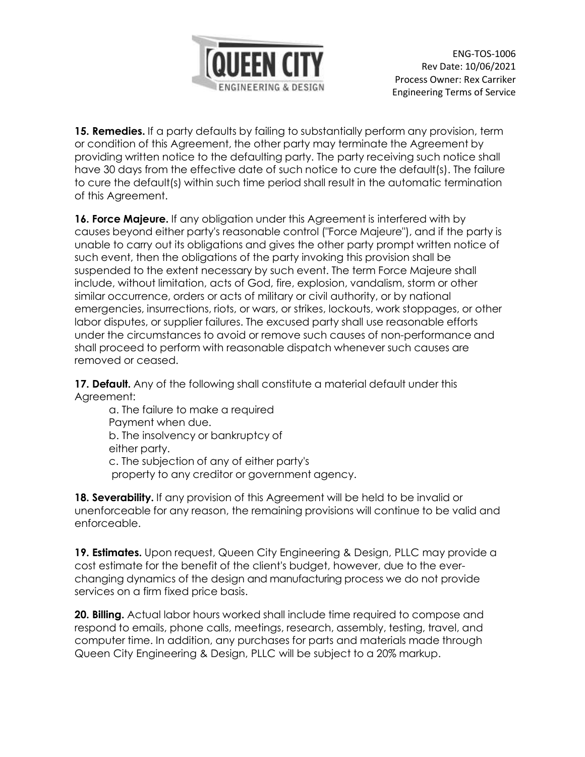

ENG-TOS-1006 Rev Date: 10/06/2021 Process Owner: Rex Carriker Engineering Terms of Service

15. **Remedies.** If a party defaults by failing to substantially perform any provision, term or condition of this Agreement, the other party may terminate the Agreement by providing written notice to the defaulting party. The party receiving such notice shall have 30 days from the effective date of such notice to cure the default(s). The failure to cure the default(s) within such time period shall result in the automatic termination of this Agreement.

**16. Force Majeure.** If any obligation under this Agreement is interfered with by causes beyond either party's reasonable control ("Force Majeure"), and if the party is unable to carry out its obligations and gives the other party prompt written notice of such event, then the obligations of the party invoking this provision shall be suspended to the extent necessary by such event. The term Force Majeure shall include, without limitation, acts of God, fire, explosion, vandalism, storm or other similar occurrence, orders or acts of military or civil authority, or by national emergencies, insurrections, riots, or wars, or strikes, lockouts, work stoppages, or other labor disputes, or supplier failures. The excused party shall use reasonable efforts under the circumstances to avoid or remove such causes of non-performance and shall proceed to perform with reasonable dispatch whenever such causes are removed or ceased.

**17. Default.** Any of the following shall constitute a material default under this Agreement:

a. The failure to make a required Payment when due. b. The insolvency or bankruptcy of either party. c. The subjection of any of either party's property to any creditor or government agency.

**18. Severability.** If any provision of this Agreement will be held to be invalid or unenforceable for any reason, the remaining provisions will continue to be valid and enforceable.

**19. Estimates.** Upon request, Queen City Engineering & Design, PLLC may provide a cost estimate for the benefit of the client's budget, however, due to the everchanging dynamics of the design and manufacturing process we do not provide services on a firm fixed price basis.

**20. Billing.** Actual labor hours worked shall include time required to compose and respond to emails, phone calls, meetings, research, assembly, testing, travel, and computer time. In addition, any purchases for parts and materials made through Queen City Engineering & Design, PLLC will be subject to a 20% markup.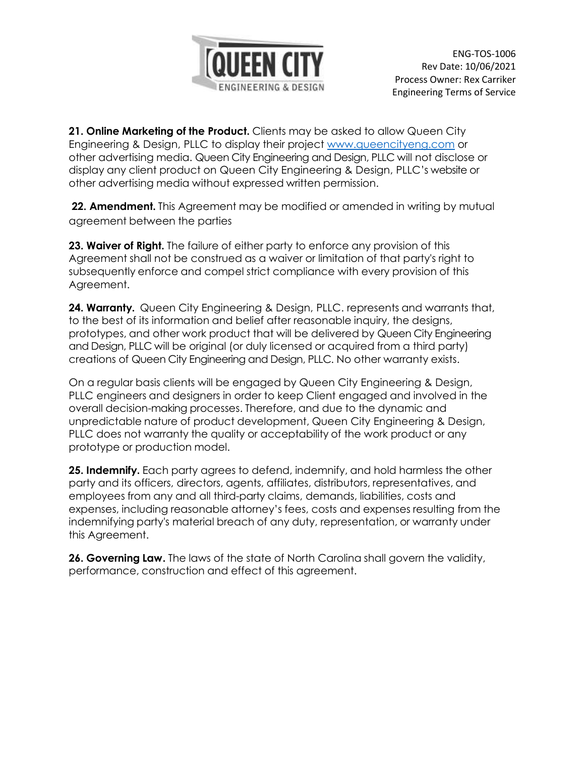

**21. Online Marketing of the Product.** Clients may be asked to allow Queen City Engineering & Design, PLLC to display their project [www.queencityeng.com](http://www.queencityeng.com/) or other advertising media. Queen City Engineering and Design, PLLC will not disclose or display any client product on Queen City Engineering & Design, PLLC's website or other advertising media without expressed written permission.

**22. Amendment.** This Agreement may be modified or amended in writing by mutual agreement between the parties

**23. Waiver of Right.** The failure of either party to enforce any provision of this Agreement shall not be construed as a waiver or limitation of that party's right to subsequently enforce and compel strict compliance with every provision of this Agreement.

**24. Warranty.** Queen City Engineering & Design, PLLC. represents and warrants that, to the best of its information and belief after reasonable inquiry, the designs, prototypes, and other work product that will be delivered by Queen City Engineering and Design, PLLC will be original (or duly licensed or acquired from a third party) creations of Queen City Engineering and Design, PLLC. No other warranty exists.

On a regular basis clients will be engaged by Queen City Engineering & Design, PLLC engineers and designers in order to keep Client engaged and involved in the overall decision-making processes. Therefore, and due to the dynamic and unpredictable nature of product development, Queen City Engineering & Design, PLLC does not warranty the quality or acceptability of the work product or any prototype or production model.

**25. Indemnify.** Each party agrees to defend, indemnify, and hold harmless the other party and its officers, directors, agents, affiliates, distributors, representatives, and employees from any and all third-party claims, demands, liabilities, costs and expenses, including reasonable attorney's fees, costs and expenses resulting from the indemnifying party's material breach of any duty, representation, or warranty under this Agreement.

**26. Governing Law.** The laws of the state of North Carolina shall govern the validity, performance, construction and effect of this agreement.